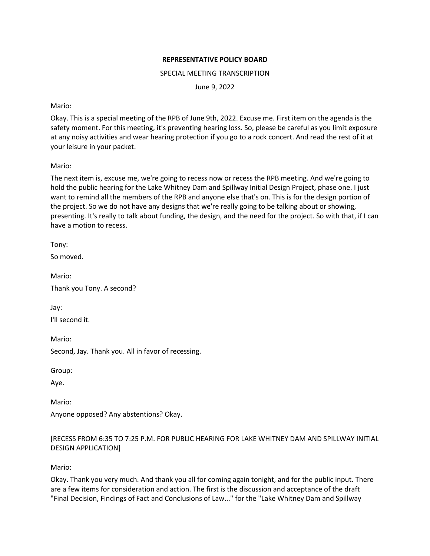# **REPRESENTATIVE POLICY BOARD**

### SPECIAL MEETING TRANSCRIPTION

June 9, 2022

### Mario:

Okay. This is a special meeting of the RPB of June 9th, 2022. Excuse me. First item on the agenda is the safety moment. For this meeting, it's preventing hearing loss. So, please be careful as you limit exposure at any noisy activities and wear hearing protection if you go to a rock concert. And read the rest of it at your leisure in your packet.

# Mario:

The next item is, excuse me, we're going to recess now or recess the RPB meeting. And we're going to hold the public hearing for the Lake Whitney Dam and Spillway Initial Design Project, phase one. I just want to remind all the members of the RPB and anyone else that's on. This is for the design portion of the project. So we do not have any designs that we're really going to be talking about or showing, presenting. It's really to talk about funding, the design, and the need for the project. So with that, if I can have a motion to recess.

Tony:

So moved.

Mario: Thank you Tony. A second?

Jay: I'll second it.

Mario: Second, Jay. Thank you. All in favor of recessing.

Group:

Aye.

Mario:

Anyone opposed? Any abstentions? Okay.

# [RECESS FROM 6:35 TO 7:25 P.M. FOR PUBLIC HEARING FOR LAKE WHITNEY DAM AND SPILLWAY INITIAL DESIGN APPLICATION]

Mario:

Okay. Thank you very much. And thank you all for coming again tonight, and for the public input. There are a few items for consideration and action. The first is the discussion and acceptance of the draft "Final Decision, Findings of Fact and Conclusions of Law..." for the "Lake Whitney Dam and Spillway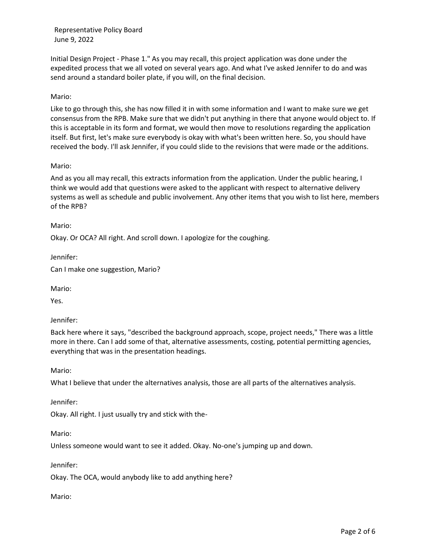Initial Design Project - Phase 1." As you may recall, this project application was done under the expedited process that we all voted on several years ago. And what I've asked Jennifer to do and was send around a standard boiler plate, if you will, on the final decision.

#### Mario:

Like to go through this, she has now filled it in with some information and I want to make sure we get consensus from the RPB. Make sure that we didn't put anything in there that anyone would object to. If this is acceptable in its form and format, we would then move to resolutions regarding the application itself. But first, let's make sure everybody is okay with what's been written here. So, you should have received the body. I'll ask Jennifer, if you could slide to the revisions that were made or the additions.

#### Mario:

And as you all may recall, this extracts information from the application. Under the public hearing, I think we would add that questions were asked to the applicant with respect to alternative delivery systems as well as schedule and public involvement. Any other items that you wish to list here, members of the RPB?

Mario:

Okay. Or OCA? All right. And scroll down. I apologize for the coughing.

Jennifer:

Can I make one suggestion, Mario?

Mario:

Yes.

Jennifer:

Back here where it says, "described the background approach, scope, project needs," There was a little more in there. Can I add some of that, alternative assessments, costing, potential permitting agencies, everything that was in the presentation headings.

Mario:

What I believe that under the alternatives analysis, those are all parts of the alternatives analysis.

Jennifer:

Okay. All right. I just usually try and stick with the-

Mario:

Unless someone would want to see it added. Okay. No-one's jumping up and down.

Jennifer:

Okay. The OCA, would anybody like to add anything here?

Mario: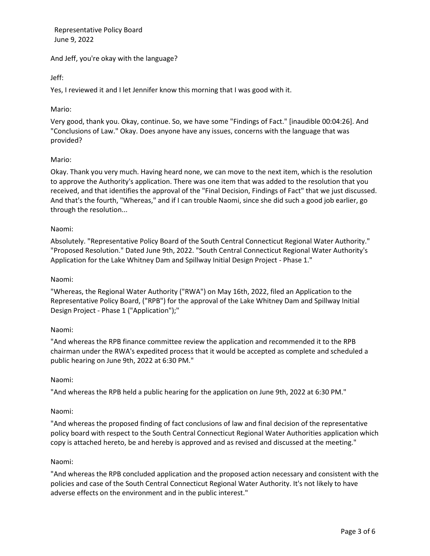And Jeff, you're okay with the language?

Jeff:

Yes, I reviewed it and I let Jennifer know this morning that I was good with it.

### Mario:

Very good, thank you. Okay, continue. So, we have some "Findings of Fact." [inaudible 00:04:26]. And "Conclusions of Law." Okay. Does anyone have any issues, concerns with the language that was provided?

#### Mario:

Okay. Thank you very much. Having heard none, we can move to the next item, which is the resolution to approve the Authority's application. There was one item that was added to the resolution that you received, and that identifies the approval of the "Final Decision, Findings of Fact" that we just discussed. And that's the fourth, "Whereas," and if I can trouble Naomi, since she did such a good job earlier, go through the resolution...

#### Naomi:

Absolutely. "Representative Policy Board of the South Central Connecticut Regional Water Authority." "Proposed Resolution." Dated June 9th, 2022. "South Central Connecticut Regional Water Authority's Application for the Lake Whitney Dam and Spillway Initial Design Project - Phase 1."

#### Naomi:

"Whereas, the Regional Water Authority ("RWA") on May 16th, 2022, filed an Application to the Representative Policy Board, ("RPB") for the approval of the Lake Whitney Dam and Spillway Initial Design Project - Phase 1 ("Application");"

# Naomi:

"And whereas the RPB finance committee review the application and recommended it to the RPB chairman under the RWA's expedited process that it would be accepted as complete and scheduled a public hearing on June 9th, 2022 at 6:30 PM."

#### Naomi:

"And whereas the RPB held a public hearing for the application on June 9th, 2022 at 6:30 PM."

#### Naomi:

"And whereas the proposed finding of fact conclusions of law and final decision of the representative policy board with respect to the South Central Connecticut Regional Water Authorities application which copy is attached hereto, be and hereby is approved and as revised and discussed at the meeting."

#### Naomi:

"And whereas the RPB concluded application and the proposed action necessary and consistent with the policies and case of the South Central Connecticut Regional Water Authority. It's not likely to have adverse effects on the environment and in the public interest."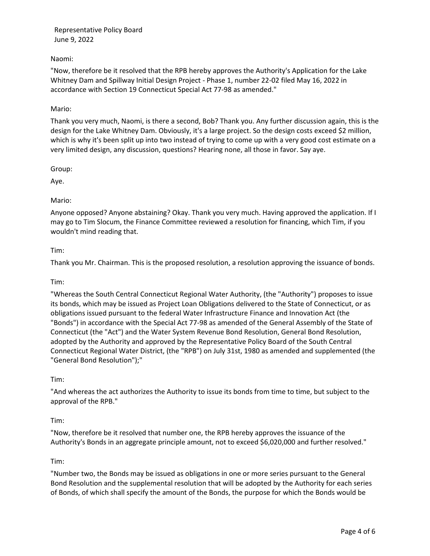# Naomi:

"Now, therefore be it resolved that the RPB hereby approves the Authority's Application for the Lake Whitney Dam and Spillway Initial Design Project - Phase 1, number 22-02 filed May 16, 2022 in accordance with Section 19 Connecticut Special Act 77-98 as amended."

# Mario:

Thank you very much, Naomi, is there a second, Bob? Thank you. Any further discussion again, this is the design for the Lake Whitney Dam. Obviously, it's a large project. So the design costs exceed \$2 million, which is why it's been split up into two instead of trying to come up with a very good cost estimate on a very limited design, any discussion, questions? Hearing none, all those in favor. Say aye.

Group:

Aye.

# Mario:

Anyone opposed? Anyone abstaining? Okay. Thank you very much. Having approved the application. If I may go to Tim Slocum, the Finance Committee reviewed a resolution for financing, which Tim, if you wouldn't mind reading that.

#### Tim:

Thank you Mr. Chairman. This is the proposed resolution, a resolution approving the issuance of bonds.

# Tim:

"Whereas the South Central Connecticut Regional Water Authority, (the "Authority") proposes to issue its bonds, which may be issued as Project Loan Obligations delivered to the State of Connecticut, or as obligations issued pursuant to the federal Water Infrastructure Finance and Innovation Act (the "Bonds") in accordance with the Special Act 77-98 as amended of the General Assembly of the State of Connecticut (the "Act") and the Water System Revenue Bond Resolution, General Bond Resolution, adopted by the Authority and approved by the Representative Policy Board of the South Central Connecticut Regional Water District, (the "RPB") on July 31st, 1980 as amended and supplemented (the "General Bond Resolution");"

# Tim:

"And whereas the act authorizes the Authority to issue its bonds from time to time, but subject to the approval of the RPB."

# Tim:

"Now, therefore be it resolved that number one, the RPB hereby approves the issuance of the Authority's Bonds in an aggregate principle amount, not to exceed \$6,020,000 and further resolved."

# Tim:

"Number two, the Bonds may be issued as obligations in one or more series pursuant to the General Bond Resolution and the supplemental resolution that will be adopted by the Authority for each series of Bonds, of which shall specify the amount of the Bonds, the purpose for which the Bonds would be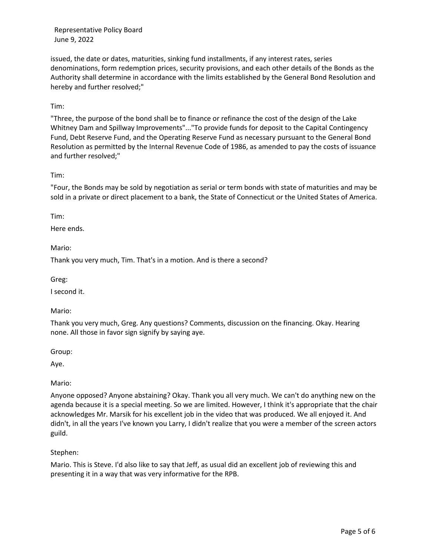issued, the date or dates, maturities, sinking fund installments, if any interest rates, series denominations, form redemption prices, security provisions, and each other details of the Bonds as the Authority shall determine in accordance with the limits established by the General Bond Resolution and hereby and further resolved;"

# Tim:

"Three, the purpose of the bond shall be to finance or refinance the cost of the design of the Lake Whitney Dam and Spillway Improvements"..."To provide funds for deposit to the Capital Contingency Fund, Debt Reserve Fund, and the Operating Reserve Fund as necessary pursuant to the General Bond Resolution as permitted by the Internal Revenue Code of 1986, as amended to pay the costs of issuance and further resolved;"

# Tim:

"Four, the Bonds may be sold by negotiation as serial or term bonds with state of maturities and may be sold in a private or direct placement to a bank, the State of Connecticut or the United States of America.

# Tim:

Here ends.

Mario:

Thank you very much, Tim. That's in a motion. And is there a second?

Greg:

I second it.

# Mario:

Thank you very much, Greg. Any questions? Comments, discussion on the financing. Okay. Hearing none. All those in favor sign signify by saying aye.

Group:

Aye.

Mario:

Anyone opposed? Anyone abstaining? Okay. Thank you all very much. We can't do anything new on the agenda because it is a special meeting. So we are limited. However, I think it's appropriate that the chair acknowledges Mr. Marsik for his excellent job in the video that was produced. We all enjoyed it. And didn't, in all the years I've known you Larry, I didn't realize that you were a member of the screen actors guild.

# Stephen:

Mario. This is Steve. I'd also like to say that Jeff, as usual did an excellent job of reviewing this and presenting it in a way that was very informative for the RPB.